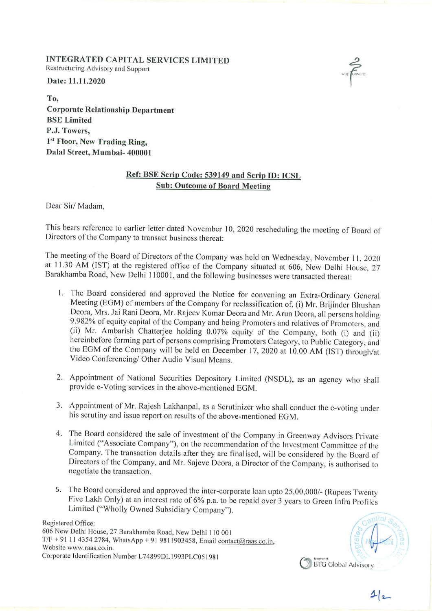INTEGRATED CAPITAL SERVICES LIMITED Restructuring Advisory and Support

Date: 11.11.2020

To, Corporate Relationship Department BSE Limited P.J. Towers, 1<sup>st</sup> Floor, New Trading Ring, Dalal Street, Mumbai- 400001

## Ref: BSE Scrip Code: <sup>539149</sup> and Scrip ID: ICSL Sub: Outcome of Board Meeting

Dear Sir/ Madam,

This bears reference to earlier letter dated November 10, 2020 rescheduling the meeting of Board of Directors of the Company to transact business thereat:

The meeting of the Board of Directors of the Company was held on Wednesday, November <sup>I</sup> I, <sup>2020</sup> at 11.30 AM (1ST) at the registered office of the Company situated at 606, New Delhi House, <sup>27</sup> Barakhamba Road, New Delhi 110001, and the following businesses were transacted thereat:

- I. The Board considered and approved the Notice for convening an Extra-Ordinary General Meeting (EGM) of members of the Company for reclassification of, (i) Mr. Brijinder Bhushan<br>Deora, Mrs. Jai Rani Deora, Mr. Rajeev Kumar Deora and Mr. Arun Deora, all persons holding 9.982% of equity capital of the Company and being Promoters and relatives of Promoters, and (ii) Mr. Ambarish Chatterjee holding 0.07% equity of the Company, both (i) and (ii) herein before forming part of persons comprising Promoters Category, to Public Category, and the EGM of the Company will be held on December 17, 2020 at 10.00 AM (IST) through/at Video Conferencing/ Other Audio Visual Means.
- 2. Appointment of National Securities Depository Limited (NSDL), as an agency who shall provide e-Voting services in the above-mentioned EGM.
- 3. Appointment of Mr. Rajesh Lakhanpal, as a Scrutinizer who shall conduct the e-voting under his scrutiny and issue report on results of the above-mentioned EGM.
- 4. The Board considered the sale of investment of the Company in Greenway Advisors Private Limited ("Associate Company"), on the recommendation of the Investment Committee of the Company. The transaction details after they are finalised, will be considered by the Board of Directors of the Company, and Mr. Sajeve Deora, <sup>a</sup> Director of the Company, is authorised to negotiate the transaction.
- 5. The Board considered and approved the inter-corporate loan upto 25,00,000/- (Rupees Twenty Five Lakh Only) at an interest rate of 6% p.a. to be repaid over <sup>3</sup> years to Green Infra Profiles Limited ("Wholly Owned Subsidiary Company").

Registered Office: 606 New Delhi House, <sup>27</sup> Barakhamba Road, New Delhi <sup>110</sup> 00 <sup>I</sup>  $T/F + 91$  11 4354 2784, WhatsApp + 91 9811903458, Email contact@raas.co.in, Website www.raas.co.in. Corporate Identification Number L74899DL 1993PLC051981<br>
S BTG Global Advisory